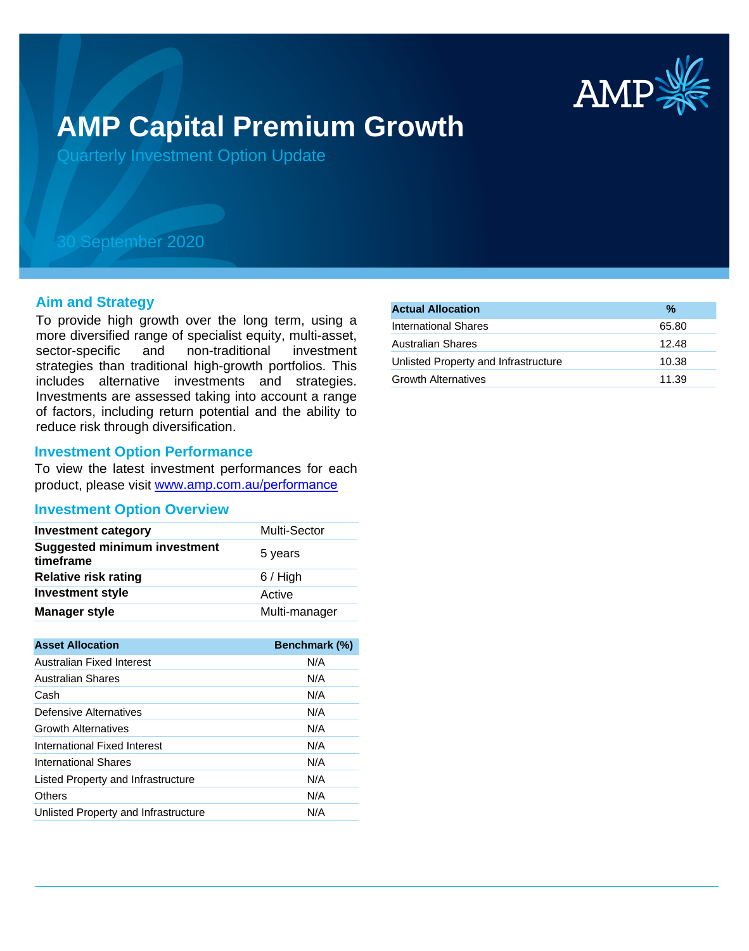

# **AMP Capital Premium Growth**

Quarterly Investment Option Update

# 30 September 2020

# **Aim and Strategy**

To provide high growth over the long term, using a more diversified range of specialist equity, multi-asset, sector-specific and non-traditional investment strategies than traditional high-growth portfolios. This includes alternative investments and strategies. Investments are assessed taking into account a range of factors, including return potential and the ability to reduce risk through diversification.

# **Investment Option Performance**

To view the latest investment performances for each product, please visit www.amp.com.au/performance

# **Investment Option Overview**

| <b>Investment category</b>                       | Multi-Sector  |
|--------------------------------------------------|---------------|
| <b>Suggested minimum investment</b><br>timeframe | 5 years       |
| <b>Relative risk rating</b>                      | $6/$ High     |
| <b>Investment style</b>                          | Active        |
| <b>Manager style</b>                             | Multi-manager |

| <b>Asset Allocation</b>              | <b>Benchmark (%)</b> |
|--------------------------------------|----------------------|
| Australian Fixed Interest            | N/A                  |
| <b>Australian Shares</b>             | N/A                  |
| Cash                                 | N/A                  |
| Defensive Alternatives               | N/A                  |
| <b>Growth Alternatives</b>           | N/A                  |
| International Fixed Interest         | N/A                  |
| <b>International Shares</b>          | N/A                  |
| Listed Property and Infrastructure   | N/A                  |
| Others                               | N/A                  |
| Unlisted Property and Infrastructure | N/A                  |

| <b>Actual Allocation</b>             | %     |
|--------------------------------------|-------|
| International Shares                 | 65.80 |
| Australian Shares                    | 12.48 |
| Unlisted Property and Infrastructure | 10.38 |
| Growth Alternatives                  | 11.39 |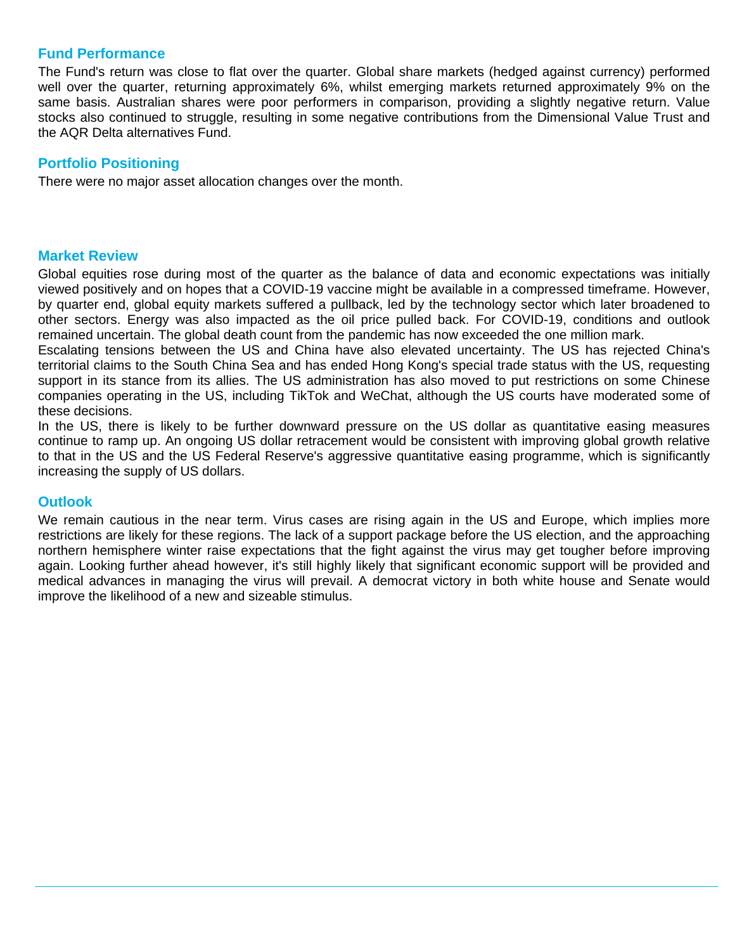# **Fund Performance**

The Fund's return was close to flat over the quarter. Global share markets (hedged against currency) performed well over the quarter, returning approximately 6%, whilst emerging markets returned approximately 9% on the same basis. Australian shares were poor performers in comparison, providing a slightly negative return. Value stocks also continued to struggle, resulting in some negative contributions from the Dimensional Value Trust and the AQR Delta alternatives Fund.

# **Portfolio Positioning**

There were no major asset allocation changes over the month.

# **Market Review**

Global equities rose during most of the quarter as the balance of data and economic expectations was initially viewed positively and on hopes that a COVID-19 vaccine might be available in a compressed timeframe. However, by quarter end, global equity markets suffered a pullback, led by the technology sector which later broadened to other sectors. Energy was also impacted as the oil price pulled back. For COVID-19, conditions and outlook remained uncertain. The global death count from the pandemic has now exceeded the one million mark.

Escalating tensions between the US and China have also elevated uncertainty. The US has rejected China's territorial claims to the South China Sea and has ended Hong Kong's special trade status with the US, requesting support in its stance from its allies. The US administration has also moved to put restrictions on some Chinese companies operating in the US, including TikTok and WeChat, although the US courts have moderated some of these decisions.

In the US, there is likely to be further downward pressure on the US dollar as quantitative easing measures continue to ramp up. An ongoing US dollar retracement would be consistent with improving global growth relative to that in the US and the US Federal Reserve's aggressive quantitative easing programme, which is significantly increasing the supply of US dollars.

# **Outlook**

We remain cautious in the near term. Virus cases are rising again in the US and Europe, which implies more restrictions are likely for these regions. The lack of a support package before the US election, and the approaching northern hemisphere winter raise expectations that the fight against the virus may get tougher before improving again. Looking further ahead however, it's still highly likely that significant economic support will be provided and medical advances in managing the virus will prevail. A democrat victory in both white house and Senate would improve the likelihood of a new and sizeable stimulus.